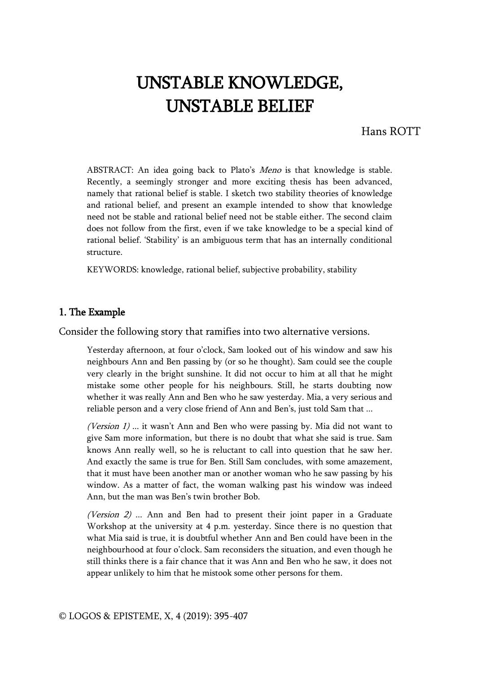# UNSTABLE KNOWLEDGE, UNSTABLE BELIEF

Hans ROTT

ABSTRACT: An idea going back to Plato's Meno is that knowledge is stable. Recently, a seemingly stronger and more exciting thesis has been advanced, namely that rational belief is stable. I sketch two stability theories of knowledge and rational belief, and present an example intended to show that knowledge need not be stable and rational belief need not be stable either. The second claim does not follow from the first, even if we take knowledge to be a special kind of rational belief. 'Stability' is an ambiguous term that has an internally conditional structure.

KEYWORDS: knowledge, rational belief, subjective probability, stability

## 1. The Example

Consider the following story that ramifies into two alternative versions.

Yesterday afternoon, at four o'clock, Sam looked out of his window and saw his neighbours Ann and Ben passing by (or so he thought). Sam could see the couple very clearly in the bright sunshine. It did not occur to him at all that he might mistake some other people for his neighbours. Still, he starts doubting now whether it was really Ann and Ben who he saw yesterday. Mia, a very serious and reliable person and a very close friend of Ann and Ben's, just told Sam that ...

(Version 1) ... it wasn't Ann and Ben who were passing by. Mia did not want to give Sam more information, but there is no doubt that what she said is true. Sam knows Ann really well, so he is reluctant to call into question that he saw her. And exactly the same is true for Ben. Still Sam concludes, with some amazement, that it must have been another man or another woman who he saw passing by his window. As a matter of fact, the woman walking past his window was indeed Ann, but the man was Ben's twin brother Bob.

(Version  $2$ ) ... Ann and Ben had to present their joint paper in a Graduate Workshop at the university at 4 p.m. yesterday. Since there is no question that what Mia said is true, it is doubtful whether Ann and Ben could have been in the neighbourhood at four o'clock. Sam reconsiders the situation, and even though he still thinks there is a fair chance that it was Ann and Ben who he saw, it does not appear unlikely to him that he mistook some other persons for them.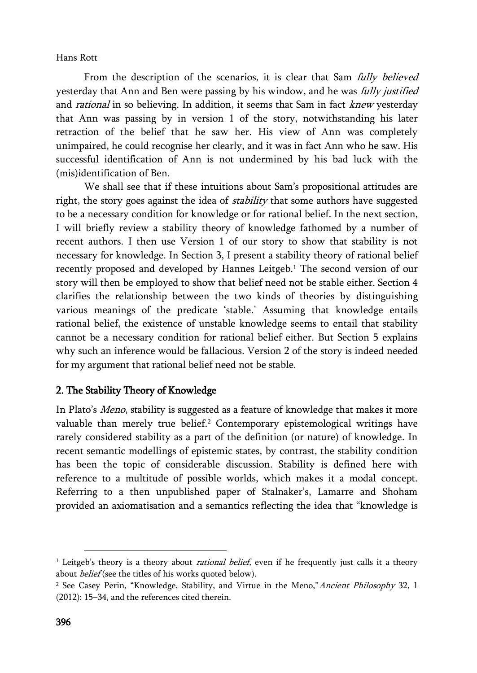From the description of the scenarios, it is clear that Sam *fully believed* yesterday that Ann and Ben were passing by his window, and he was *fully justified* and *rational* in so believing. In addition, it seems that Sam in fact *knew* yesterday that Ann was passing by in version 1 of the story, notwithstanding his later retraction of the belief that he saw her. His view of Ann was completely unimpaired, he could recognise her clearly, and it was in fact Ann who he saw. His successful identification of Ann is not undermined by his bad luck with the (mis)identification of Ben.

We shall see that if these intuitions about Sam's propositional attitudes are right, the story goes against the idea of *stability* that some authors have suggested to be a necessary condition for knowledge or for rational belief. In the next section, I will briefly review a stability theory of knowledge fathomed by a number of recent authors. I then use Version 1 of our story to show that stability is not necessary for knowledge. In Section 3, I present a stability theory of rational belief recently proposed and developed by Hannes Leitgeb.<sup>1</sup> The second version of our story will then be employed to show that belief need not be stable either. Section 4 clarifies the relationship between the two kinds of theories by distinguishing various meanings of the predicate 'stable.' Assuming that knowledge entails rational belief, the existence of unstable knowledge seems to entail that stability cannot be a necessary condition for rational belief either. But Section 5 explains why such an inference would be fallacious. Version 2 of the story is indeed needed for my argument that rational belief need not be stable.

# 2. The Stability Theory of Knowledge

In Plato's Meno, stability is suggested as a feature of knowledge that makes it more valuable than merely true belief.<sup>2</sup> Contemporary epistemological writings have rarely considered stability as a part of the definition (or nature) of knowledge. In recent semantic modellings of epistemic states, by contrast, the stability condition has been the topic of considerable discussion. Stability is defined here with reference to a multitude of possible worlds, which makes it a modal concept. Referring to a then unpublished paper of Stalnaker's, Lamarre and Shoham provided an axiomatisation and a semantics reflecting the idea that "knowledge is

<sup>&</sup>lt;sup>1</sup> Leitgeb's theory is a theory about *rational belief*, even if he frequently just calls it a theory about *belief* (see the titles of his works quoted below).

<sup>&</sup>lt;sup>2</sup> See Casey Perin, "Knowledge, Stability, and Virtue in the Meno,"Ancient Philosophy 32, 1 (2012): 15–34, and the references cited therein.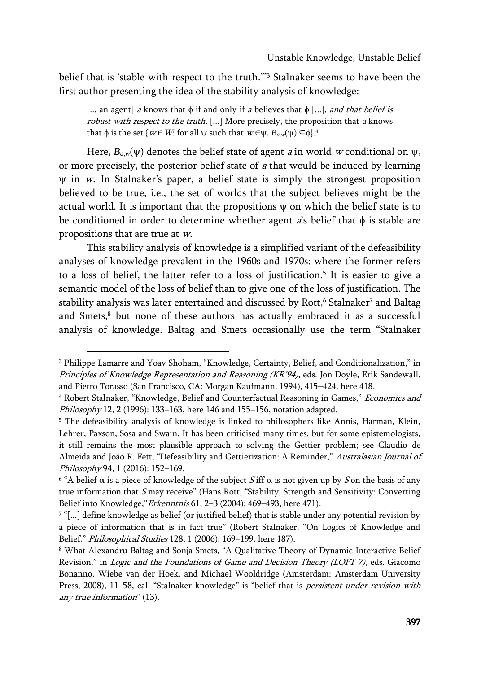belief that is 'stable with respect to the truth.'"<sup>3</sup> Stalnaker seems to have been the first author presenting the idea of the stability analysis of knowledge:

[... an agent] a knows that  $\phi$  if and only if a believes that  $\phi$  [...], and that belief is robust with respect to the truth. [...] More precisely, the proposition that a knows that  $\phi$  is the set {*w* ∈ *W*: for all  $\psi$  such that  $w \in \psi$ ,  $B_{a,\psi}(\psi) \subseteq \phi$ }.<sup>4</sup>

Here,  $B_{a,w}(\psi)$  denotes the belief state of agent *a* in world *w* conditional on  $\psi$ , or more precisely, the posterior belief state of  $a$  that would be induced by learning  $\psi$  in  $\psi$ . In Stalnaker's paper, a belief state is simply the strongest proposition believed to be true, i.e., the set of worlds that the subject believes might be the actual world. It is important that the propositions  $\psi$  on which the belief state is to be conditioned in order to determine whether agent  $\vec{a}$ 's belief that  $\phi$  is stable are propositions that are true at w.

This stability analysis of knowledge is a simplified variant of the defeasibility analyses of knowledge prevalent in the 1960s and 1970s: where the former refers to a loss of belief, the latter refer to a loss of justification.<sup>5</sup> It is easier to give a semantic model of the loss of belief than to give one of the loss of justification. The stability analysis was later entertained and discussed by Rott,<sup>6</sup> Stalnaker<sup>7</sup> and Baltag and Smets,<sup>8</sup> but none of these authors has actually embraced it as a successful analysis of knowledge. Baltag and Smets occasionally use the term "Stalnaker

<sup>3</sup> Philippe Lamarre and Yoav Shoham, "Knowledge, Certainty, Belief, and Conditionalization," in Principles of Knowledge Representation and Reasoning (KR'94), eds. Jon Doyle, Erik Sandewall, and Pietro Torasso (San Francisco, CA: Morgan Kaufmann, 1994), 415–424, here 418.

<sup>&</sup>lt;sup>4</sup> Robert Stalnaker, "Knowledge, Belief and Counterfactual Reasoning in Games," Economics and Philosophy 12, 2 (1996): 133–163, here 146 and 155–156, notation adapted.

<sup>&</sup>lt;sup>5</sup> The defeasibility analysis of knowledge is linked to philosophers like Annis, Harman, Klein, Lehrer, Paxson, Sosa and Swain. It has been criticised many times, but for some epistemologists, it still remains the most plausible approach to solving the Gettier problem; see Claudio de Almeida and João R. Fett, "Defeasibility and Gettierization: A Reminder," Australasian Journal of Philosophy 94, 1 (2016): 152–169.

<sup>&</sup>lt;sup>6</sup> "A belief  $\alpha$  is a piece of knowledge of the subject S iff  $\alpha$  is not given up by S on the basis of any true information that  $S$  may receive" (Hans Rott, "Stability, Strength and Sensitivity: Converting Belief into Knowledge,"Erkenntnis 61, 2–3 (2004): 469–493, here 471).

<sup>7</sup> "[...] define knowledge as belief (or justified belief) that is stable under any potential revision by a piece of information that is in fact true" (Robert Stalnaker, "On Logics of Knowledge and Belief," Philosophical Studies 128, 1 (2006): 169–199, here 187).

<sup>8</sup> What Alexandru Baltag and Sonja Smets, "A Qualitative Theory of Dynamic Interactive Belief Revision," in Logic and the Foundations of Game and Decision Theory (LOFT 7), eds. Giacomo Bonanno, Wiebe van der Hoek, and Michael Wooldridge (Amsterdam: Amsterdam University Press, 2008), 11-58, call "Stalnaker knowledge" is "belief that is *persistent under revision with* any true information" (13).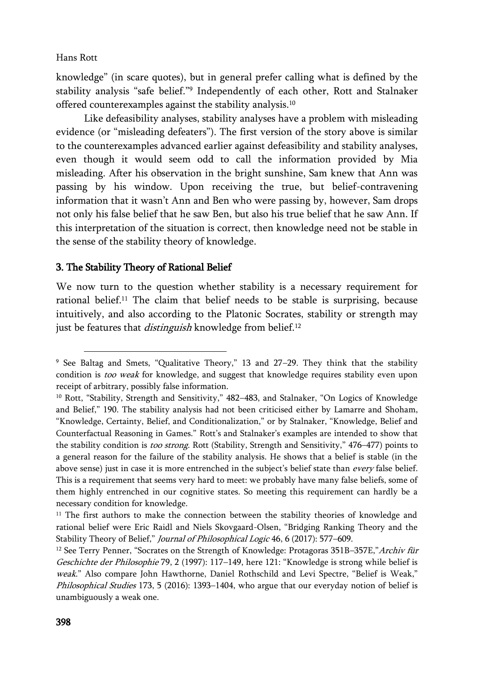$\overline{\phantom{a}}$ 

knowledge" (in scare quotes), but in general prefer calling what is defined by the stability analysis "safe belief."<sup>9</sup> Independently of each other, Rott and Stalnaker offered counterexamples against the stability analysis.<sup>10</sup>

Like defeasibility analyses, stability analyses have a problem with misleading evidence (or "misleading defeaters"). The first version of the story above is similar to the counterexamples advanced earlier against defeasibility and stability analyses, even though it would seem odd to call the information provided by Mia misleading. After his observation in the bright sunshine, Sam knew that Ann was passing by his window. Upon receiving the true, but belief-contravening information that it wasn't Ann and Ben who were passing by, however, Sam drops not only his false belief that he saw Ben, but also his true belief that he saw Ann. If this interpretation of the situation is correct, then knowledge need not be stable in the sense of the stability theory of knowledge.

# 3. The Stability Theory of Rational Belief

We now turn to the question whether stability is a necessary requirement for rational belief.<sup>11</sup> The claim that belief needs to be stable is surprising, because intuitively, and also according to the Platonic Socrates, stability or strength may just be features that *distinguish* knowledge from belief.<sup>12</sup>

<sup>9</sup> See Baltag and Smets, "Qualitative Theory," 13 and 27–29. They think that the stability condition is too weak for knowledge, and suggest that knowledge requires stability even upon receipt of arbitrary, possibly false information.

<sup>&</sup>lt;sup>10</sup> Rott, "Stability, Strength and Sensitivity," 482-483, and Stalnaker, "On Logics of Knowledge and Belief," 190. The stability analysis had not been criticised either by Lamarre and Shoham, "Knowledge, Certainty, Belief, and Conditionalization," or by Stalnaker, "Knowledge, Belief and Counterfactual Reasoning in Games." Rott's and Stalnaker's examples are intended to show that the stability condition is *too strong*. Rott (Stability, Strength and Sensitivity," 476–477) points to a general reason for the failure of the stability analysis. He shows that a belief is stable (in the above sense) just in case it is more entrenched in the subject's belief state than every false belief. This is a requirement that seems very hard to meet: we probably have many false beliefs, some of them highly entrenched in our cognitive states. So meeting this requirement can hardly be a necessary condition for knowledge.

 $11$  The first authors to make the connection between the stability theories of knowledge and rational belief were Eric Raidl and Niels Skovgaard-Olsen, "Bridging Ranking Theory and the Stability Theory of Belief," Journal of Philosophical Logic 46, 6 (2017): 577-609.

<sup>&</sup>lt;sup>12</sup> See Terry Penner, "Socrates on the Strength of Knowledge: Protagoras 351B-357E," Archiv für Geschichte der Philosophie 79, 2 (1997): 117–149, here 121: "Knowledge is strong while belief is weak." Also compare John Hawthorne, Daniel Rothschild and Levi Spectre, "Belief is Weak," Philosophical Studies 173, 5 (2016): 1393-1404, who argue that our everyday notion of belief is unambiguously a weak one.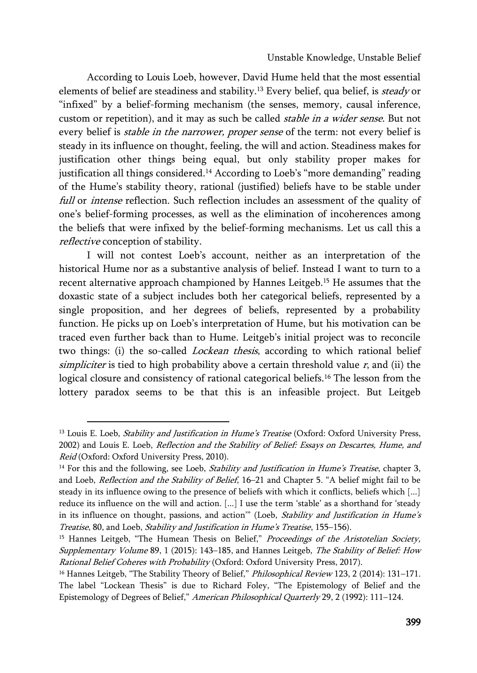According to Louis Loeb, however, David Hume held that the most essential elements of belief are steadiness and stability.<sup>13</sup> Every belief, qua belief, is *steady* or "infixed" by a belief-forming mechanism (the senses, memory, causal inference, custom or repetition), and it may as such be called stable in a wider sense. But not every belief is *stable in the narrower, proper sense* of the term: not every belief is steady in its influence on thought, feeling, the will and action. Steadiness makes for justification other things being equal, but only stability proper makes for justification all things considered.<sup>14</sup> According to Loeb's "more demanding" reading of the Hume's stability theory, rational (justified) beliefs have to be stable under full or *intense* reflection. Such reflection includes an assessment of the quality of one's belief-forming processes, as well as the elimination of incoherences among the beliefs that were infixed by the belief-forming mechanisms. Let us call this a reflective conception of stability.

I will not contest Loeb's account, neither as an interpretation of the historical Hume nor as a substantive analysis of belief. Instead I want to turn to a recent alternative approach championed by Hannes Leitgeb.<sup>15</sup> He assumes that the doxastic state of a subject includes both her categorical beliefs, represented by a single proposition, and her degrees of beliefs, represented by a probability function. He picks up on Loeb's interpretation of Hume, but his motivation can be traced even further back than to Hume. Leitgeb's initial project was to reconcile two things: (i) the so-called *Lockean thesis*, according to which rational belief simpliciter is tied to high probability above a certain threshold value  $r$ , and (ii) the logical closure and consistency of rational categorical beliefs.<sup>16</sup> The lesson from the lottery paradox seems to be that this is an infeasible project. But Leitgeb

 $\overline{a}$ 

<sup>&</sup>lt;sup>13</sup> Louis E. Loeb, Stability and Justification in Hume's Treatise (Oxford: Oxford University Press, 2002) and Louis E. Loeb, Reflection and the Stability of Belief: Essays on Descartes, Hume, and Reid (Oxford: Oxford University Press, 2010).

 $14$  For this and the following, see Loeb, *Stability and Justification in Hume's Treatise*, chapter 3, and Loeb, Reflection and the Stability of Belief, 16–21 and Chapter 5. "A belief might fail to be steady in its influence owing to the presence of beliefs with which it conflicts, beliefs which [...] reduce its influence on the will and action. [...] I use the term 'stable' as a shorthand for 'steady in its influence on thought, passions, and action" (Loeb, Stability and Justification in Hume's Treatise, 80, and Loeb, Stability and Justification in Hume's Treatise, 155–156).

<sup>&</sup>lt;sup>15</sup> Hannes Leitgeb, "The Humean Thesis on Belief," Proceedings of the Aristotelian Society, Supplementary Volume 89, 1 (2015): 143–185, and Hannes Leitgeb, The Stability of Belief: How Rational Belief Coheres with Probability (Oxford: Oxford University Press, 2017).

<sup>&</sup>lt;sup>16</sup> Hannes Leitgeb, "The Stability Theory of Belief," *Philosophical Review* 123, 2 (2014): 131-171. The label "Lockean Thesis" is due to Richard Foley, "The Epistemology of Belief and the Epistemology of Degrees of Belief," American Philosophical Quarterly 29, 2 (1992): 111–124.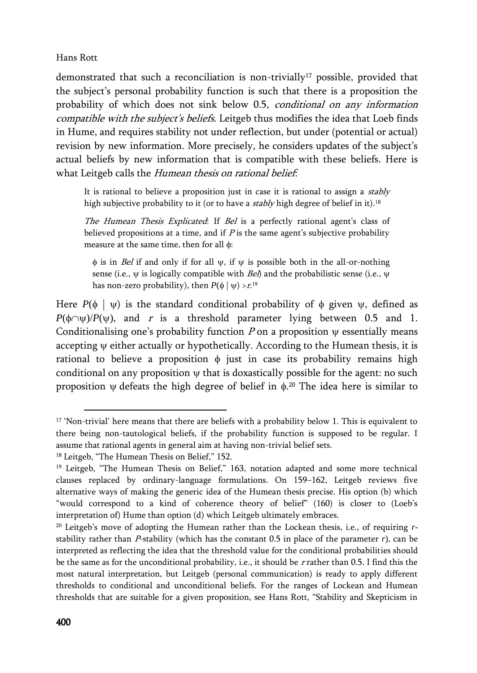demonstrated that such a reconciliation is non-trivially<sup>17</sup> possible, provided that the subject's personal probability function is such that there is a proposition the probability of which does not sink below 0.5, conditional on any information compatible with the subject's beliefs. Leitgeb thus modifies the idea that Loeb finds in Hume, and requires stability not under reflection, but under (potential or actual) revision by new information. More precisely, he considers updates of the subject's actual beliefs by new information that is compatible with these beliefs. Here is what Leitgeb calls the Humean thesis on rational belief.

It is rational to believe a proposition just in case it is rational to assign a  $stably$ high subjective probability to it (or to have a *stably* high degree of belief in it).<sup>18</sup>

The Humean Thesis Explicated: If Bel is a perfectly rational agent's class of believed propositions at a time, and if  $P$  is the same agent's subjective probability measure at the same time, then for all  $\phi$ :

 $\phi$  is in *Bel* if and only if for all  $\psi$ , if  $\psi$  is possible both in the all-or-nothing sense (i.e.,  $\psi$  is logically compatible with *Bel*) and the probabilistic sense (i.e.,  $\psi$ has non-zero probability), then  $P(\phi \mid \psi) > r.$ <sup>19</sup>

Here  $P(\phi \mid \psi)$  is the standard conditional probability of  $\phi$  given  $\psi$ , defined as  $P(\phi \cap \psi)/P(\psi)$ , and r is a threshold parameter lying between 0.5 and 1. Conditionalising one's probability function  $P$  on a proposition  $\psi$  essentially means accepting  $\psi$  either actually or hypothetically. According to the Humean thesis, it is rational to believe a proposition  $\phi$  just in case its probability remains high conditional on any proposition  $\psi$  that is doxastically possible for the agent: no such proposition  $\psi$  defeats the high degree of belief in  $\phi$ <sup>20</sup> The idea here is similar to

<sup>&</sup>lt;sup>17</sup> 'Non-trivial' here means that there are beliefs with a probability below 1. This is equivalent to there being non-tautological beliefs, if the probability function is supposed to be regular. I assume that rational agents in general aim at having non-trivial belief sets.

<sup>18</sup> Leitgeb, "The Humean Thesis on Belief," 152.

<sup>19</sup> Leitgeb, "The Humean Thesis on Belief," 163, notation adapted and some more technical clauses replaced by ordinary-language formulations. On 159–162, Leitgeb reviews five alternative ways of making the generic idea of the Humean thesis precise. His option (b) which "would correspond to a kind of coherence theory of belief" (160) is closer to (Loeb's interpretation of) Hume than option (d) which Leitgeb ultimately embraces.

<sup>20</sup> Leitgeb's move of adopting the Humean rather than the Lockean thesis, i.e., of requiring *r*stability rather than  $P$ -stability (which has the constant  $0.5$  in place of the parameter  $r$ ), can be interpreted as reflecting the idea that the threshold value for the conditional probabilities should be the same as for the unconditional probability, i.e., it should be r rather than 0.5. I find this the most natural interpretation, but Leitgeb (personal communication) is ready to apply different thresholds to conditional and unconditional beliefs. For the ranges of Lockean and Humean thresholds that are suitable for a given proposition, see Hans Rott, "Stability and Skepticism in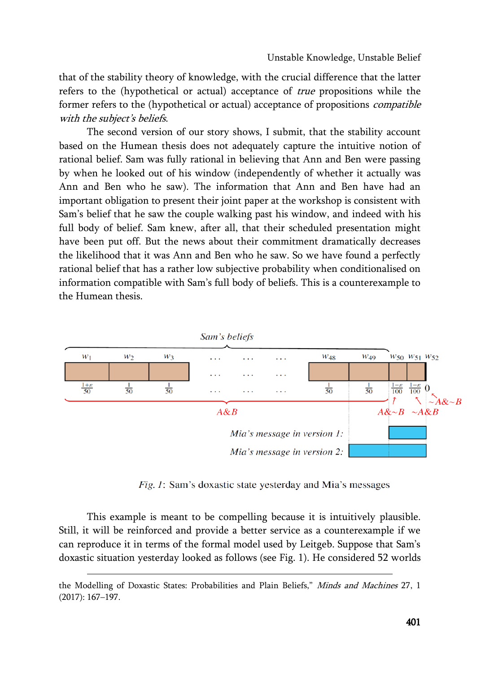that of the stability theory of knowledge, with the crucial difference that the latter refers to the (hypothetical or actual) acceptance of true propositions while the former refers to the (hypothetical or actual) acceptance of propositions compatible with the subject's beliefs.

The second version of our story shows, I submit, that the stability account based on the Humean thesis does not adequately capture the intuitive notion of rational belief. Sam was fully rational in believing that Ann and Ben were passing by when he looked out of his window (independently of whether it actually was Ann and Ben who he saw). The information that Ann and Ben have had an important obligation to present their joint paper at the workshop is consistent with Sam's belief that he saw the couple walking past his window, and indeed with his full body of belief. Sam knew, after all, that their scheduled presentation might have been put off. But the news about their commitment dramatically decreases the likelihood that it was Ann and Ben who he saw. So we have found a perfectly rational belief that has a rather low subjective probability when conditionalised on information compatible with Sam's full body of beliefs. This is a counterexample to the Humean thesis.



*Fig. 1:* Sam's doxastic state yesterday and Mia's messages

This example is meant to be compelling because it is intuitively plausible. Still, it will be reinforced and provide a better service as a counterexample if we can reproduce it in terms of the formal model used by Leitgeb. Suppose that Sam's doxastic situation yesterday looked as follows (see Fig. 1). He considered 52 worlds

the Modelling of Doxastic States: Probabilities and Plain Beliefs," Minds and Machines 27, 1 (2017): 167–197.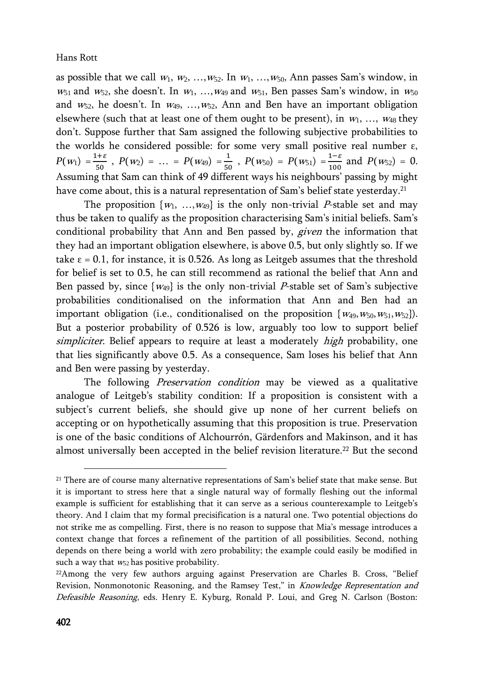as possible that we call  $w_1, w_2, ..., w_{52}$ . In  $w_1, ..., w_{50}$ , Ann passes Sam's window, in  $w_{51}$  and  $w_{52}$ , she doesn't. In  $w_1$ , ...,  $w_{49}$  and  $w_{51}$ , Ben passes Sam's window, in  $w_{50}$ and  $w_{52}$ , he doesn't. In  $w_{49}$ , ...,  $w_{52}$ , Ann and Ben have an important obligation elsewhere (such that at least one of them ought to be present), in  $w_1, ..., w_{48}$  they don't. Suppose further that Sam assigned the following subjective probabilities to the worlds he considered possible: for some very small positive real number ε,  $P(w_1) = \frac{1+\varepsilon}{50}$ ,  $P(w_2) = \dots = P(w_{49}) = \frac{1}{50}$ ,  $P(w_{50}) = P(w_{51}) = \frac{1-\varepsilon}{100}$  and  $P(w_{52}) = 0$ . Assuming that Sam can think of 49 different ways his neighbours' passing by might have come about, this is a natural representation of Sam's belief state yesterday.<sup>21</sup>

The proposition  $\{w_1, ..., w_{49}\}$  is the only non-trivial P-stable set and may thus be taken to qualify as the proposition characterising Sam's initial beliefs. Sam's conditional probability that Ann and Ben passed by, *given* the information that they had an important obligation elsewhere, is above 0.5, but only slightly so. If we take  $\epsilon$  = 0.1, for instance, it is 0.526. As long as Leitgeb assumes that the threshold for belief is set to 0.5, he can still recommend as rational the belief that Ann and Ben passed by, since  $\{w_{49}\}\$ is the only non-trivial P-stable set of Sam's subjective probabilities conditionalised on the information that Ann and Ben had an important obligation (i.e., conditionalised on the proposition  $\{w_{49}, w_{50}, w_{51}, w_{52}\}$ ). But a posterior probability of 0.526 is low, arguably too low to support belief simpliciter. Belief appears to require at least a moderately *high* probability, one that lies significantly above 0.5. As a consequence, Sam loses his belief that Ann and Ben were passing by yesterday.

The following *Preservation condition* may be viewed as a qualitative analogue of Leitgeb's stability condition: If a proposition is consistent with a subject's current beliefs, she should give up none of her current beliefs on accepting or on hypothetically assuming that this proposition is true. Preservation is one of the basic conditions of Alchourrón, Gärdenfors and Makinson, and it has almost universally been accepted in the belief revision literature.<sup>22</sup> But the second

<sup>&</sup>lt;sup>21</sup> There are of course many alternative representations of Sam's belief state that make sense. But it is important to stress here that a single natural way of formally fleshing out the informal example is sufficient for establishing that it can serve as a serious counterexample to Leitgeb's theory. And I claim that my formal precisification is a natural one. Two potential objections do not strike me as compelling. First, there is no reason to suppose that Mia's message introduces a context change that forces a refinement of the partition of all possibilities. Second, nothing depends on there being a world with zero probability; the example could easily be modified in such a way that  $w_{52}$  has positive probability.

<sup>22</sup>Among the very few authors arguing against Preservation are Charles B. Cross, "Belief Revision, Nonmonotonic Reasoning, and the Ramsey Test," in Knowledge Representation and Defeasible Reasoning, eds. Henry E. Kyburg, Ronald P. Loui, and Greg N. Carlson (Boston: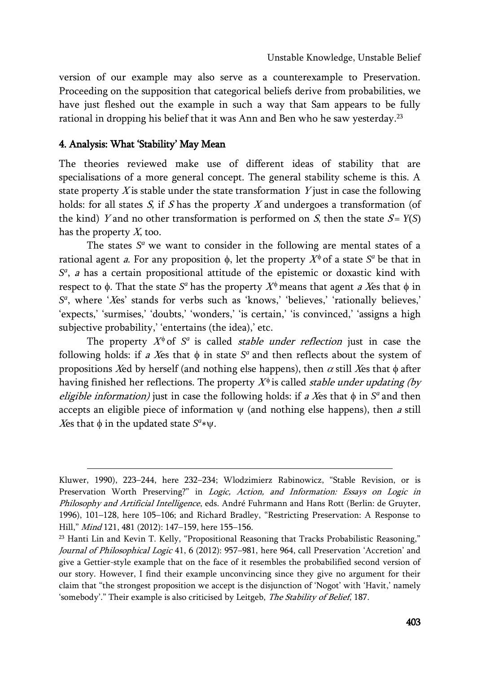version of our example may also serve as a counterexample to Preservation. Proceeding on the supposition that categorical beliefs derive from probabilities, we have just fleshed out the example in such a way that Sam appears to be fully rational in dropping his belief that it was Ann and Ben who he saw yesterday.<sup>23</sup>

## 4. Analysis: What 'Stability' May Mean

 $\overline{\phantom{a}}$ 

The theories reviewed make use of different ideas of stability that are specialisations of a more general concept. The general stability scheme is this. A state property  $X$  is stable under the state transformation  $Y$  just in case the following holds: for all states  $S$ , if  $S$  has the property  $X$  and undergoes a transformation (of the kind) Y and no other transformation is performed on S, then the state  $S = Y(S)$ has the property  $X$ , too.

The states  $S^a$  we want to consider in the following are mental states of a rational agent *a*. For any proposition  $\phi$ , let the property  $X^{\phi}$  of a state  $S^{a}$  be that in *S a* , a has a certain propositional attitude of the epistemic or doxastic kind with respect to  $\phi$ . That the state  $S^a$  has the property  $X^\phi$  means that agent *a X*es that  $\phi$  in  $S<sup>a</sup>$ , where 'Xes' stands for verbs such as 'knows,' 'believes,' 'rationally believes,' 'expects,' 'surmises,' 'doubts,' 'wonders,' 'is certain,' 'is convinced,' 'assigns a high subjective probability,' 'entertains (the idea),' etc.

The property  $X^{\phi}$  of  $S^a$  is called *stable under reflection* just in case the following holds: if *a* Xes that  $\phi$  in state  $S^a$  and then reflects about the system of propositions Xed by herself (and nothing else happens), then  $\alpha$  still Xes that  $\phi$  after having finished her reflections. The property  $X^{\phi}$  is called *stable under updating (by* eligible information) just in case the following holds: if a Xes that  $\phi$  in  $S^a$  and then accepts an eligible piece of information  $\psi$  (and nothing else happens), then a still *X*es that  $\phi$  in the updated state  $S^a * \psi$ .

Kluwer, 1990), 223–244, here 232–234; Wlodzimierz Rabinowicz, "Stable Revision, or is Preservation Worth Preserving?" in Logic, Action, and Information: Essays on Logic in Philosophy and Artificial Intelligence, eds. André Fuhrmann and Hans Rott (Berlin: de Gruyter, 1996), 101–128, here 105–106; and Richard Bradley, "Restricting Preservation: A Response to Hill," Mind 121, 481 (2012): 147–159, here 155–156.

<sup>&</sup>lt;sup>23</sup> Hanti Lin and Kevin T. Kelly, "Propositional Reasoning that Tracks Probabilistic Reasoning," Journal of Philosophical Logic 41, 6 (2012): 957-981, here 964, call Preservation 'Accretion' and give a Gettier-style example that on the face of it resembles the probabilified second version of our story. However, I find their example unconvincing since they give no argument for their claim that "the strongest proposition we accept is the disjunction of 'Nogot' with 'Havit,' namely 'somebody'." Their example is also criticised by Leitgeb, The Stability of Belief, 187.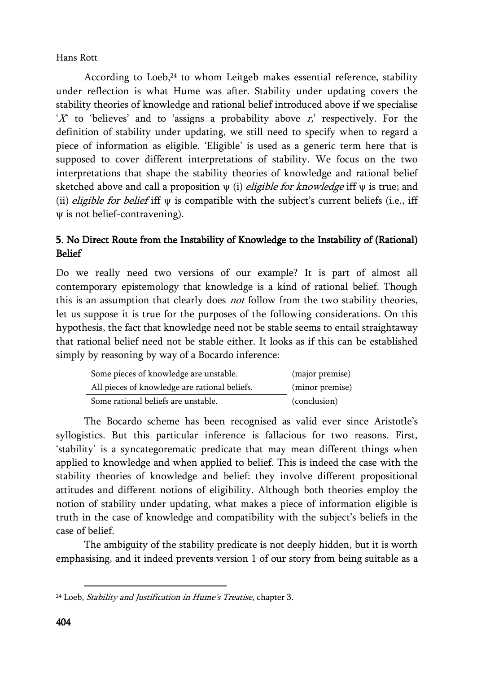According to Loeb, $24$  to whom Leitgeb makes essential reference, stability under reflection is what Hume was after. Stability under updating covers the stability theories of knowledge and rational belief introduced above if we specialise 'X' to 'believes' and to 'assigns a probability above  $r$ ,' respectively. For the definition of stability under updating, we still need to specify when to regard a piece of information as eligible. 'Eligible' is used as a generic term here that is supposed to cover different interpretations of stability. We focus on the two interpretations that shape the stability theories of knowledge and rational belief sketched above and call a proposition  $\psi$  (i) *eligible for knowledge* iff  $\psi$  is true; and (ii) eligible for belief iff  $\psi$  is compatible with the subject's current beliefs (i.e., iff  $\psi$  is not belief-contravening).

# 5. No Direct Route from the Instability of Knowledge to the Instability of (Rational) Belief

Do we really need two versions of our example? It is part of almost all contemporary epistemology that knowledge is a kind of rational belief. Though this is an assumption that clearly does not follow from the two stability theories, let us suppose it is true for the purposes of the following considerations. On this hypothesis, the fact that knowledge need not be stable seems to entail straightaway that rational belief need not be stable either. It looks as if this can be established simply by reasoning by way of a Bocardo inference:

| Some pieces of knowledge are unstable.        | (major premise) |
|-----------------------------------------------|-----------------|
| All pieces of knowledge are rational beliefs. | (minor premise) |
| Some rational beliefs are unstable.           | (conclusion)    |

The Bocardo scheme has been recognised as valid ever since Aristotle's syllogistics. But this particular inference is fallacious for two reasons. First, 'stability' is a syncategorematic predicate that may mean different things when applied to knowledge and when applied to belief. This is indeed the case with the stability theories of knowledge and belief: they involve different propositional attitudes and different notions of eligibility. Although both theories employ the notion of stability under updating, what makes a piece of information eligible is truth in the case of knowledge and compatibility with the subject's beliefs in the case of belief.

The ambiguity of the stability predicate is not deeply hidden, but it is worth emphasising, and it indeed prevents version 1 of our story from being suitable as a

 $24$  Loeb, *Stability and Justification in Hume's Treatise*, chapter 3.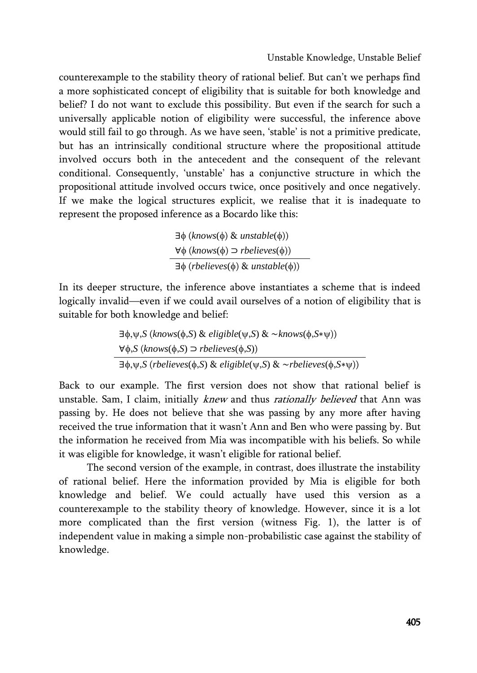counterexample to the stability theory of rational belief. But can't we perhaps find a more sophisticated concept of eligibility that is suitable for both knowledge and belief? I do not want to exclude this possibility. But even if the search for such a universally applicable notion of eligibility were successful, the inference above would still fail to go through. As we have seen, 'stable' is not a primitive predicate, but has an intrinsically conditional structure where the propositional attitude involved occurs both in the antecedent and the consequent of the relevant conditional. Consequently, 'unstable' has a conjunctive structure in which the propositional attitude involved occurs twice, once positively and once negatively. If we make the logical structures explicit, we realise that it is inadequate to represent the proposed inference as a Bocardo like this:

> $\exists \phi$  (*knows*( $\phi$ ) & *unstable*( $\phi$ ))  $\forall \phi$  (*knows*( $\phi$ )  $\Rightarrow$  *rbelieves*( $\phi$ ))  $\exists \phi$  (*rbelieves*( $\phi$ ) & *unstable*( $\phi$ ))

In its deeper structure, the inference above instantiates a scheme that is indeed logically invalid—even if we could avail ourselves of a notion of eligibility that is suitable for both knowledge and belief:

$$
\exists \phi, \psi, S \ (knows(\phi, S) \& \ \text{eligible}(\psi, S) \& \ \sim knows(\phi, S*\psi))
$$
\n
$$
\forall \phi, S \ (knows(\phi, S) \supset \text{releves}(\phi, S))
$$
\n
$$
\exists \phi, \psi, S \ (releives(\phi, S) \& \ \text{eligible}(\psi, S) \& \ \sim \text{releives}(\phi, S*\psi))
$$

Back to our example. The first version does not show that rational belief is unstable. Sam, I claim, initially knew and thus rationally believed that Ann was passing by. He does not believe that she was passing by any more after having received the true information that it wasn't Ann and Ben who were passing by. But the information he received from Mia was incompatible with his beliefs. So while it was eligible for knowledge, it wasn't eligible for rational belief.

The second version of the example, in contrast, does illustrate the instability of rational belief. Here the information provided by Mia is eligible for both knowledge and belief. We could actually have used this version as a counterexample to the stability theory of knowledge. However, since it is a lot more complicated than the first version (witness Fig. 1), the latter is of independent value in making a simple non-probabilistic case against the stability of knowledge.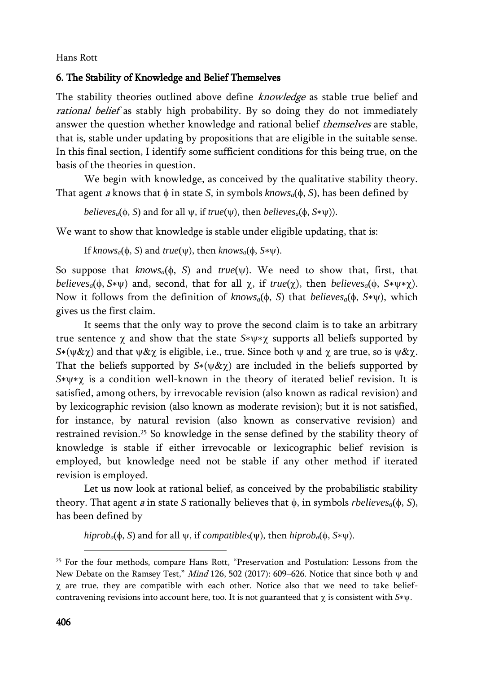# 6. The Stability of Knowledge and Belief Themselves

The stability theories outlined above define *knowledge* as stable true belief and rational belief as stably high probability. By so doing they do not immediately answer the question whether knowledge and rational belief *themselves* are stable, that is, stable under updating by propositions that are eligible in the suitable sense. In this final section, I identify some sufficient conditions for this being true, on the basis of the theories in question.

We begin with knowledge, as conceived by the qualitative stability theory. That agent *a* knows that  $\phi$  in state *S*, in symbols *knows<sub>a</sub>*( $\phi$ , *S*), has been defined by

```
believes<sub>a</sub>(\phi, S) and for all \psi, if true(\psi), then believes<sub>a</sub>(\phi, S*\psi)).
```
We want to show that knowledge is stable under eligible updating, that is:

If  $\text{knows}_a(\phi, S)$  and  $\text{true}(\psi)$ , then  $\text{knows}_a(\phi, S^*\psi)$ .

So suppose that  $knows_a(\phi, S)$  and  $true(\psi)$ . We need to show that, first, that  $b$ *elieves<sub>a</sub>*( $\phi$ ,  $S*$ ν $\nu$ ) and, second, that for all  $\gamma$ , if *true*( $\gamma$ ), then *believes<sub>a</sub>*( $\phi$ ,  $S*$ ν $\nu*\gamma$ ). Now it follows from the definition of *knows*<sub>*a*</sub>( $\phi$ , *S*) that *believes<sub>a</sub>*( $\phi$ , *S*∗ $\psi$ ), which gives us the first claim.

It seems that the only way to prove the second claim is to take an arbitrary true sentence  $\chi$  and show that the state  $S* \psi * \chi$  supports all beliefs supported by  $S*(\psi \& \chi)$  and that  $\psi \& \chi$  is eligible, i.e., true. Since both  $\psi$  and  $\chi$  are true, so is  $\psi \& \chi$ . That the beliefs supported by  $S*(\psi \& \chi)$  are included in the beliefs supported by *S*∗ $y * \gamma$  is a condition well-known in the theory of iterated belief revision. It is satisfied, among others, by irrevocable revision (also known as radical revision) and by lexicographic revision (also known as moderate revision); but it is not satisfied, for instance, by natural revision (also known as conservative revision) and restrained revision.<sup>25</sup> So knowledge in the sense defined by the stability theory of knowledge is stable if either irrevocable or lexicographic belief revision is employed, but knowledge need not be stable if any other method if iterated revision is employed.

Let us now look at rational belief, as conceived by the probabilistic stability theory. That agent *a* in state *S* rationally believes that  $\phi$ , in symbols *rbelieves<sub>a</sub>*( $\phi$ , *S*), has been defined by

 $hiprob<sub>a</sub>(\phi, S)$  and for all  $\psi$ , if *compatible*<sub>*S*</sub>( $\psi$ ), then *hiprob<sub>a</sub>*( $\phi$ ,  $S*\psi$ ).

<sup>25</sup> For the four methods, compare Hans Rott, "Preservation and Postulation: Lessons from the New Debate on the Ramsey Test," Mind 126, 502 (2017): 609-626. Notice that since both  $\psi$  and  $\chi$  are true, they are compatible with each other. Notice also that we need to take beliefcontravening revisions into account here, too. It is not guaranteed that  $\chi$  is consistent with  $S*\psi$ .